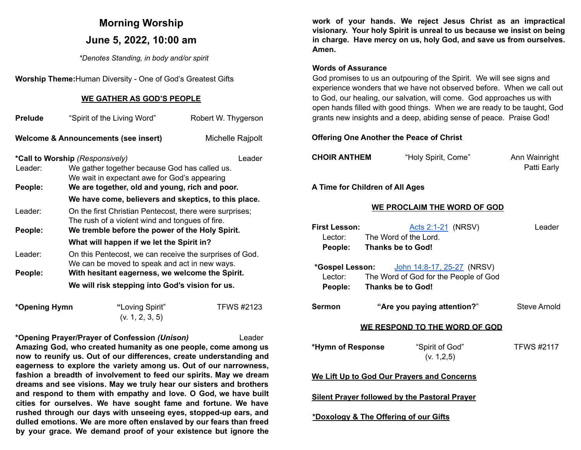# **Morning Worship June 5, 2022, 10:00 am**

*\*Denotes Standing, in body and/or spirit*

**Worship Theme:**Human Diversity - One of God's Greatest Gifts

#### **WE GATHER AS GOD'S PEOPLE**

| <b>Prelude</b>                                                      | "Spirit of the Living Word"<br>Robert W. Thygerson                                                         |  |  |  |  |
|---------------------------------------------------------------------|------------------------------------------------------------------------------------------------------------|--|--|--|--|
| <b>Welcome &amp; Announcements (see insert)</b><br>Michelle Rajpolt |                                                                                                            |  |  |  |  |
| *Call to Worship (Responsively)<br>Leader                           |                                                                                                            |  |  |  |  |
| Leader:                                                             | We gather together because God has called us.                                                              |  |  |  |  |
| People:                                                             | We wait in expectant awe for God's appearing<br>We are together, old and young, rich and poor.             |  |  |  |  |
|                                                                     | We have come, believers and skeptics, to this place.                                                       |  |  |  |  |
|                                                                     |                                                                                                            |  |  |  |  |
| Leader:                                                             | On the first Christian Pentecost, there were surprises;<br>The rush of a violent wind and tongues of fire. |  |  |  |  |
| People:                                                             | We tremble before the power of the Holy Spirit.                                                            |  |  |  |  |
|                                                                     | What will happen if we let the Spirit in?                                                                  |  |  |  |  |
| Leader:                                                             | On this Pentecost, we can receive the surprises of God.<br>We can be moved to speak and act in new ways.   |  |  |  |  |
| People:                                                             | With hesitant eagerness, we welcome the Spirit.                                                            |  |  |  |  |
|                                                                     | We will risk stepping into God's vision for us.                                                            |  |  |  |  |

| *Opening Hymn | "Loving Spirit" | <b>TFWS #2123</b> |
|---------------|-----------------|-------------------|
|               | (v. 1, 2, 3, 5) |                   |

**\*Opening Prayer/Prayer of Confession** *(Unison)* Leader **Amazing God, who created humanity as one people, come among us now to reunify us. Out of our differences, create understanding and eagerness to explore the variety among us. Out of our narrowness, fashion a breadth of involvement to feed our spirits. May we dream dreams and see visions. May we truly hear our sisters and brothers and respond to them with empathy and love. O God, we have built cities for ourselves. We have sought fame and fortune. We have rushed through our days with unseeing eyes, stopped-up ears, and dulled emotions. We are more often enslaved by our fears than freed by your grace. We demand proof of your existence but ignore the**

**work of your hands. We reject Jesus Christ as an impractical visionary. Your holy Spirit is unreal to us because we insist on being in charge. Have mercy on us, holy God, and save us from ourselves. Amen.**

#### **Words of Assurance**

God promises to us an outpouring of the Spirit. We will see signs and experience wonders that we have not observed before. When we call out to God, our healing, our salvation, will come. God approaches us with open hands filled with good things. When we are ready to be taught, God grants new insights and a deep, abiding sense of peace. Praise God!

#### **Offering One Another the Peace of Christ**

| "Holy Spirit, Come" | Ann Wainright |
|---------------------|---------------|
|                     |               |

Patti Early

**A Time for Children of All Ages**

#### **WE PROCLAIM THE WORD OF GOD**

| <b>First Lesson:</b>                                 |  | <u>Acts 2:1-21</u> (NRSV)                                                                                                       | Leader            |  |  |  |
|------------------------------------------------------|--|---------------------------------------------------------------------------------------------------------------------------------|-------------------|--|--|--|
|                                                      |  | Lector: The Word of the Lord.                                                                                                   |                   |  |  |  |
|                                                      |  | People: Thanks be to God!                                                                                                       |                   |  |  |  |
|                                                      |  | <b>*Gospel Lesson:</b> John 14:8-17, 25-27 (NRSV)<br>Lector: The Word of God for the People of God<br>People: Thanks be to God! |                   |  |  |  |
| <b>Sermon</b>                                        |  | "Are you paying attention?"                                                                                                     | Steve Arnold      |  |  |  |
| <b>WE RESPOND TO THE WORD OF GOD</b>                 |  |                                                                                                                                 |                   |  |  |  |
| *Hymn of Response                                    |  | "Spirit of God"<br>(v. 1, 2, 5)                                                                                                 | <b>TFWS #2117</b> |  |  |  |
| We Lift Up to God Our Prayers and Concerns           |  |                                                                                                                                 |                   |  |  |  |
| <b>Silent Prayer followed by the Pastoral Prayer</b> |  |                                                                                                                                 |                   |  |  |  |
| *Doxology & The Offering of our Gifts                |  |                                                                                                                                 |                   |  |  |  |
|                                                      |  |                                                                                                                                 |                   |  |  |  |